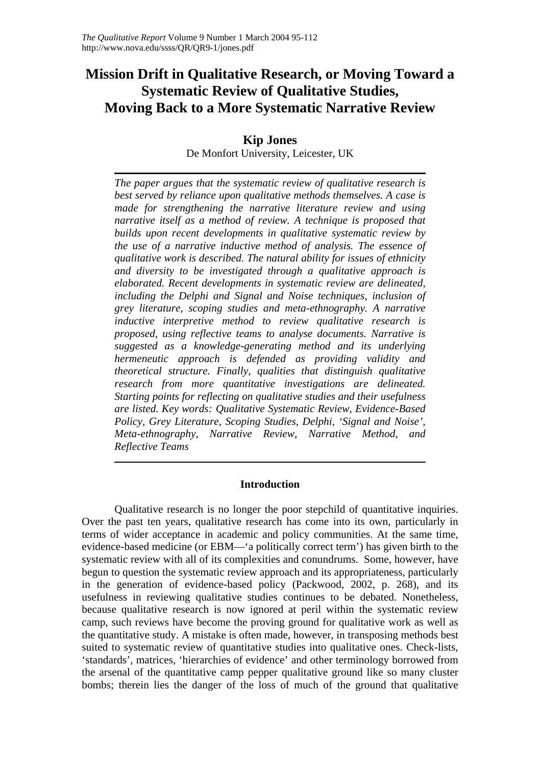# **Mission Drift in Qualitative Research, or Moving Toward a Systematic Review of Qualitative Studies, Moving Back to a More Systematic Narrative Review**

# **Kip Jones**

De Monfort University, Leicester, UK

*The paper argues that the systematic review of qualitative research is best served by reliance upon qualitative methods themselves. A case is made for strengthening the narrative literature review and using narrative itself as a method of review. A technique is proposed that builds upon recent developments in qualitative systematic review by the use of a narrative inductive method of analysis. The essence of qualitative work is described. The natural ability for issues of ethnicity and diversity to be investigated through a qualitative approach is elaborated. Recent developments in systematic review are delineated, including the Delphi and Signal and Noise techniques, inclusion of grey literature, scoping studies and meta-ethnography. A narrative inductive interpretive method to review qualitative research is proposed, using reflective teams to analyse documents. Narrative is suggested as a knowledge-generating method and its underlying hermeneutic approach is defended as providing validity and theoretical structure. Finally, qualities that distinguish qualitative research from more quantitative investigations are delineated. Starting points for reflecting on qualitative studies and their usefulness are listed. Key words: Qualitative Systematic Review, Evidence-Based Policy, Grey Literature, Scoping Studies, Delphi, 'Signal and Noise', Meta-ethnography, Narrative Review, Narrative Method, and Reflective Teams* 

# **Introduction**

Qualitative research is no longer the poor stepchild of quantitative inquiries. Over the past ten years, qualitative research has come into its own, particularly in terms of wider acceptance in academic and policy communities. At the same time, evidence-based medicine (or EBM—'a politically correct term') has given birth to the systematic review with all of its complexities and conundrums. Some, however, have begun to question the systematic review approach and its appropriateness, particularly in the generation of evidence-based policy (Packwood, 2002, p. 268), and its usefulness in reviewing qualitative studies continues to be debated. Nonetheless, because qualitative research is now ignored at peril within the systematic review camp, such reviews have become the proving ground for qualitative work as well as the quantitative study. A mistake is often made, however, in transposing methods best suited to systematic review of quantitative studies into qualitative ones. Check-lists, 'standards', matrices, 'hierarchies of evidence' and other terminology borrowed from the arsenal of the quantitative camp pepper qualitative ground like so many cluster bombs; therein lies the danger of the loss of much of the ground that qualitative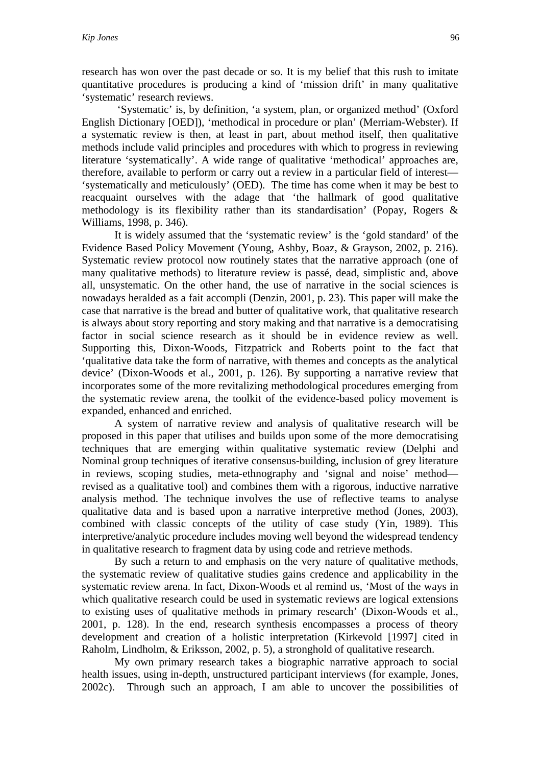research has won over the past decade or so. It is my belief that this rush to imitate quantitative procedures is producing a kind of 'mission drift' in many qualitative 'systematic' research reviews.

 'Systematic' is, by definition, 'a system, plan, or organized method' (Oxford English Dictionary [OED]), 'methodical in procedure or plan' (Merriam-Webster). If a systematic review is then, at least in part, about method itself, then qualitative methods include valid principles and procedures with which to progress in reviewing literature 'systematically'. A wide range of qualitative 'methodical' approaches are, therefore, available to perform or carry out a review in a particular field of interest— 'systematically and meticulously' (OED). The time has come when it may be best to reacquaint ourselves with the adage that 'the hallmark of good qualitative methodology is its flexibility rather than its standardisation' (Popay, Rogers & Williams, 1998, p. 346).

 It is widely assumed that the 'systematic review' is the 'gold standard' of the Evidence Based Policy Movement (Young, Ashby, Boaz, & Grayson, 2002, p. 216). Systematic review protocol now routinely states that the narrative approach (one of many qualitative methods) to literature review is passé, dead, simplistic and, above all, unsystematic. On the other hand, the use of narrative in the social sciences is nowadays heralded as a fait accompli (Denzin, 2001, p. 23). This paper will make the case that narrative is the bread and butter of qualitative work, that qualitative research is always about story reporting and story making and that narrative is a democratising factor in social science research as it should be in evidence review as well. Supporting this, Dixon-Woods, Fitzpatrick and Roberts point to the fact that 'qualitative data take the form of narrative, with themes and concepts as the analytical device' (Dixon-Woods et al., 2001, p. 126). By supporting a narrative review that incorporates some of the more revitalizing methodological procedures emerging from the systematic review arena, the toolkit of the evidence-based policy movement is expanded, enhanced and enriched.

 A system of narrative review and analysis of qualitative research will be proposed in this paper that utilises and builds upon some of the more democratising techniques that are emerging within qualitative systematic review (Delphi and Nominal group techniques of iterative consensus-building, inclusion of grey literature in reviews, scoping studies, meta-ethnography and 'signal and noise' method revised as a qualitative tool) and combines them with a rigorous, inductive narrative analysis method. The technique involves the use of reflective teams to analyse qualitative data and is based upon a narrative interpretive method (Jones, 2003), combined with classic concepts of the utility of case study (Yin, 1989). This interpretive/analytic procedure includes moving well beyond the widespread tendency in qualitative research to fragment data by using code and retrieve methods.

 By such a return to and emphasis on the very nature of qualitative methods, the systematic review of qualitative studies gains credence and applicability in the systematic review arena. In fact, Dixon-Woods et al remind us, 'Most of the ways in which qualitative research could be used in systematic reviews are logical extensions to existing uses of qualitative methods in primary research' (Dixon-Woods et al., 2001, p. 128). In the end, research synthesis encompasses a process of theory development and creation of a holistic interpretation (Kirkevold [1997] cited in Raholm, Lindholm, & Eriksson, 2002, p. 5), a stronghold of qualitative research.

 My own primary research takes a biographic narrative approach to social health issues, using in-depth, unstructured participant interviews (for example, Jones, 2002c). Through such an approach, I am able to uncover the possibilities of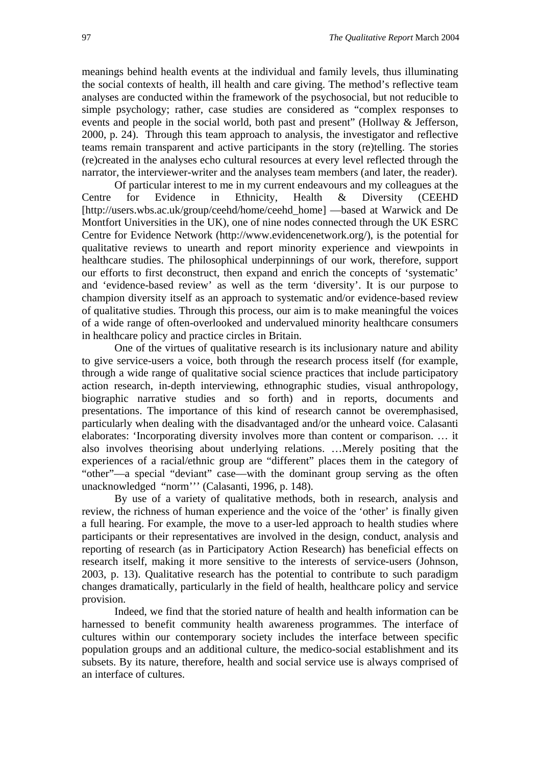meanings behind health events at the individual and family levels, thus illuminating the social contexts of health, ill health and care giving. The method's reflective team analyses are conducted within the framework of the psychosocial, but not reducible to simple psychology; rather, case studies are considered as "complex responses to events and people in the social world, both past and present" (Hollway & Jefferson, 2000, p. 24). Through this team approach to analysis, the investigator and reflective teams remain transparent and active participants in the story (re)telling. The stories (re)created in the analyses echo cultural resources at every level reflected through the narrator, the interviewer-writer and the analyses team members (and later, the reader).

Of particular interest to me in my current endeavours and my colleagues at the Centre for Evidence in Ethnicity, Health & Diversity (CEEHD [http://users.wbs.ac.uk/group/ceehd/home/ceehd\_home] —based at Warwick and De Montfort Universities in the UK), one of nine nodes connected through the UK ESRC Centre for Evidence Network (http://www.evidencenetwork.org/), is the potential for qualitative reviews to unearth and report minority experience and viewpoints in healthcare studies. The philosophical underpinnings of our work, therefore, support our efforts to first deconstruct, then expand and enrich the concepts of 'systematic' and 'evidence-based review' as well as the term 'diversity'. It is our purpose to champion diversity itself as an approach to systematic and/or evidence-based review of qualitative studies. Through this process, our aim is to make meaningful the voices of a wide range of often-overlooked and undervalued minority healthcare consumers in healthcare policy and practice circles in Britain.

One of the virtues of qualitative research is its inclusionary nature and ability to give service-users a voice, both through the research process itself (for example, through a wide range of qualitative social science practices that include participatory action research, in-depth interviewing, ethnographic studies, visual anthropology, biographic narrative studies and so forth) and in reports, documents and presentations. The importance of this kind of research cannot be overemphasised, particularly when dealing with the disadvantaged and/or the unheard voice. Calasanti elaborates: 'Incorporating diversity involves more than content or comparison. … it also involves theorising about underlying relations. …Merely positing that the experiences of a racial/ethnic group are "different" places them in the category of "other"—a special "deviant" case—with the dominant group serving as the often unacknowledged "norm''' (Calasanti, 1996, p. 148).

By use of a variety of qualitative methods, both in research, analysis and review, the richness of human experience and the voice of the 'other' is finally given a full hearing. For example, the move to a user-led approach to health studies where participants or their representatives are involved in the design, conduct, analysis and reporting of research (as in Participatory Action Research) has beneficial effects on research itself, making it more sensitive to the interests of service-users (Johnson, 2003, p. 13). Qualitative research has the potential to contribute to such paradigm changes dramatically, particularly in the field of health, healthcare policy and service provision.

Indeed, we find that the storied nature of health and health information can be harnessed to benefit community health awareness programmes. The interface of cultures within our contemporary society includes the interface between specific population groups and an additional culture, the medico-social establishment and its subsets. By its nature, therefore, health and social service use is always comprised of an interface of cultures.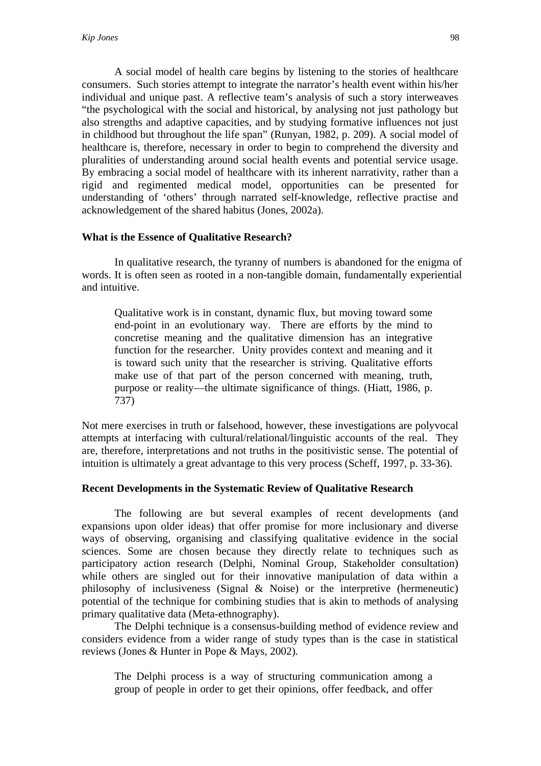A social model of health care begins by listening to the stories of healthcare consumers. Such stories attempt to integrate the narrator's health event within his/her individual and unique past. A reflective team's analysis of such a story interweaves "the psychological with the social and historical, by analysing not just pathology but also strengths and adaptive capacities, and by studying formative influences not just in childhood but throughout the life span" (Runyan, 1982, p. 209). A social model of healthcare is, therefore, necessary in order to begin to comprehend the diversity and pluralities of understanding around social health events and potential service usage. By embracing a social model of healthcare with its inherent narrativity, rather than a rigid and regimented medical model, opportunities can be presented for understanding of 'others' through narrated self-knowledge, reflective practise and acknowledgement of the shared habitus (Jones, 2002a).

#### **What is the Essence of Qualitative Research?**

 In qualitative research, the tyranny of numbers is abandoned for the enigma of words. It is often seen as rooted in a non-tangible domain, fundamentally experiential and intuitive.

Qualitative work is in constant, dynamic flux, but moving toward some end-point in an evolutionary way. There are efforts by the mind to concretise meaning and the qualitative dimension has an integrative function for the researcher. Unity provides context and meaning and it is toward such unity that the researcher is striving. Qualitative efforts make use of that part of the person concerned with meaning, truth, purpose or reality—the ultimate significance of things. (Hiatt, 1986, p. 737)

Not mere exercises in truth or falsehood, however, these investigations are polyvocal attempts at interfacing with cultural/relational/linguistic accounts of the real. They are, therefore, interpretations and not truths in the positivistic sense. The potential of intuition is ultimately a great advantage to this very process (Scheff, 1997, p. 33-36).

#### **Recent Developments in the Systematic Review of Qualitative Research**

 The following are but several examples of recent developments (and expansions upon older ideas) that offer promise for more inclusionary and diverse ways of observing, organising and classifying qualitative evidence in the social sciences. Some are chosen because they directly relate to techniques such as participatory action research (Delphi, Nominal Group, Stakeholder consultation) while others are singled out for their innovative manipulation of data within a philosophy of inclusiveness (Signal & Noise) or the interpretive (hermeneutic) potential of the technique for combining studies that is akin to methods of analysing primary qualitative data (Meta-ethnography).

 The Delphi technique is a consensus-building method of evidence review and considers evidence from a wider range of study types than is the case in statistical reviews (Jones & Hunter in Pope & Mays, 2002).

The Delphi process is a way of structuring communication among a group of people in order to get their opinions, offer feedback, and offer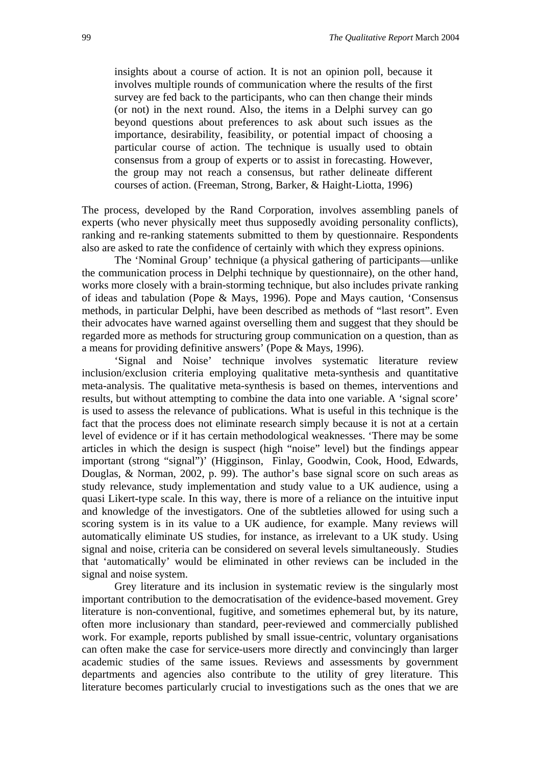insights about a course of action. It is not an opinion poll, because it involves multiple rounds of communication where the results of the first survey are fed back to the participants, who can then change their minds (or not) in the next round. Also, the items in a Delphi survey can go beyond questions about preferences to ask about such issues as the importance, desirability, feasibility, or potential impact of choosing a particular course of action. The technique is usually used to obtain consensus from a group of experts or to assist in forecasting. However, the group may not reach a consensus, but rather delineate different courses of action. (Freeman, Strong, Barker, & Haight-Liotta, 1996)

The process, developed by the Rand Corporation, involves assembling panels of experts (who never physically meet thus supposedly avoiding personality conflicts), ranking and re-ranking statements submitted to them by questionnaire. Respondents also are asked to rate the confidence of certainly with which they express opinions.

The 'Nominal Group' technique (a physical gathering of participants—unlike the communication process in Delphi technique by questionnaire), on the other hand, works more closely with a brain-storming technique, but also includes private ranking of ideas and tabulation (Pope & Mays, 1996). Pope and Mays caution, 'Consensus methods, in particular Delphi, have been described as methods of "last resort". Even their advocates have warned against overselling them and suggest that they should be regarded more as methods for structuring group communication on a question, than as a means for providing definitive answers' (Pope & Mays, 1996).

'Signal and Noise' technique involves systematic literature review inclusion/exclusion criteria employing qualitative meta-synthesis and quantitative meta-analysis. The qualitative meta-synthesis is based on themes, interventions and results, but without attempting to combine the data into one variable. A 'signal score' is used to assess the relevance of publications. What is useful in this technique is the fact that the process does not eliminate research simply because it is not at a certain level of evidence or if it has certain methodological weaknesses. 'There may be some articles in which the design is suspect (high "noise" level) but the findings appear important (strong "signal")' (Higginson, Finlay, Goodwin, Cook, Hood, Edwards, Douglas, & Norman, 2002, p. 99). The author's base signal score on such areas as study relevance, study implementation and study value to a UK audience, using a quasi Likert-type scale. In this way, there is more of a reliance on the intuitive input and knowledge of the investigators. One of the subtleties allowed for using such a scoring system is in its value to a UK audience, for example. Many reviews will automatically eliminate US studies, for instance, as irrelevant to a UK study. Using signal and noise, criteria can be considered on several levels simultaneously. Studies that 'automatically' would be eliminated in other reviews can be included in the signal and noise system.

 Grey literature and its inclusion in systematic review is the singularly most important contribution to the democratisation of the evidence-based movement. Grey literature is non-conventional, fugitive, and sometimes ephemeral but, by its nature, often more inclusionary than standard, peer-reviewed and commercially published work. For example, reports published by small issue-centric, voluntary organisations can often make the case for service-users more directly and convincingly than larger academic studies of the same issues. Reviews and assessments by government departments and agencies also contribute to the utility of grey literature. This literature becomes particularly crucial to investigations such as the ones that we are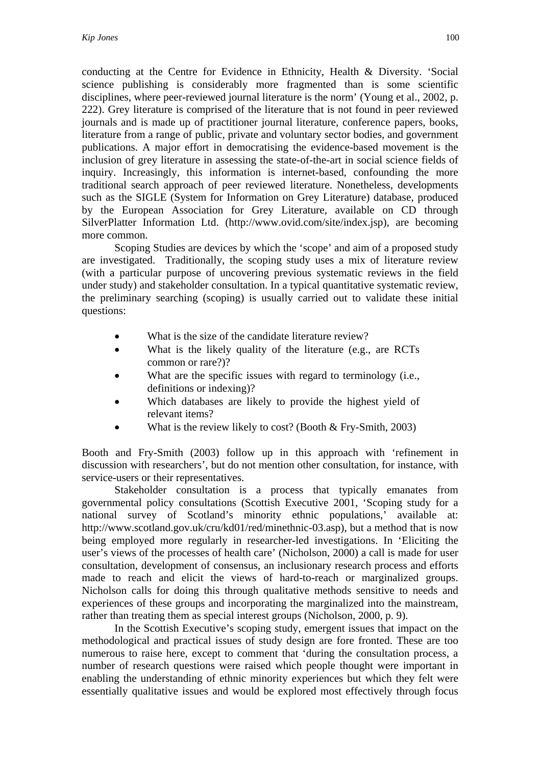conducting at the Centre for Evidence in Ethnicity, Health & Diversity. 'Social science publishing is considerably more fragmented than is some scientific disciplines, where peer-reviewed journal literature is the norm' (Young et al., 2002, p. 222). Grey literature is comprised of the literature that is not found in peer reviewed journals and is made up of practitioner journal literature, conference papers, books, literature from a range of public, private and voluntary sector bodies, and government publications. A major effort in democratising the evidence-based movement is the inclusion of grey literature in assessing the state-of-the-art in social science fields of inquiry. Increasingly, this information is internet-based, confounding the more traditional search approach of peer reviewed literature. Nonetheless, developments such as the SIGLE (System for Information on Grey Literature) database, produced by the European Association for Grey Literature, available on CD through SilverPlatter Information Ltd. (http://www.ovid.com/site/index.jsp), are becoming more common.

 Scoping Studies are devices by which the 'scope' and aim of a proposed study are investigated. Traditionally, the scoping study uses a mix of literature review (with a particular purpose of uncovering previous systematic reviews in the field under study) and stakeholder consultation. In a typical quantitative systematic review, the preliminary searching (scoping) is usually carried out to validate these initial questions:

- What is the size of the candidate literature review?
- What is the likely quality of the literature (e.g., are RCTs common or rare?)?
- What are the specific issues with regard to terminology (i.e., definitions or indexing)?
- Which databases are likely to provide the highest yield of relevant items?
- What is the review likely to cost? (Booth  $&$  Fry-Smith, 2003)

Booth and Fry-Smith (2003) follow up in this approach with 'refinement in discussion with researchers', but do not mention other consultation, for instance, with service-users or their representatives.

 Stakeholder consultation is a process that typically emanates from governmental policy consultations (Scottish Executive 2001, 'Scoping study for a national survey of Scotland's minority ethnic populations,' available at: http://www.scotland.gov.uk/cru/kd01/red/minethnic-03.asp), but a method that is now being employed more regularly in researcher-led investigations. In 'Eliciting the user's views of the processes of health care' (Nicholson, 2000) a call is made for user consultation, development of consensus, an inclusionary research process and efforts made to reach and elicit the views of hard-to-reach or marginalized groups. Nicholson calls for doing this through qualitative methods sensitive to needs and experiences of these groups and incorporating the marginalized into the mainstream, rather than treating them as special interest groups (Nicholson, 2000, p. 9).

 In the Scottish Executive's scoping study, emergent issues that impact on the methodological and practical issues of study design are fore fronted. These are too numerous to raise here, except to comment that 'during the consultation process, a number of research questions were raised which people thought were important in enabling the understanding of ethnic minority experiences but which they felt were essentially qualitative issues and would be explored most effectively through focus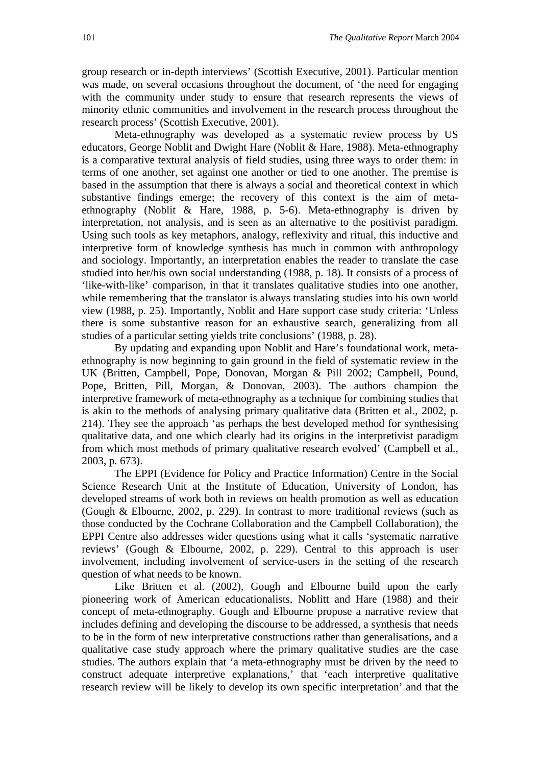group research or in-depth interviews' (Scottish Executive, 2001). Particular mention was made, on several occasions throughout the document, of 'the need for engaging with the community under study to ensure that research represents the views of minority ethnic communities and involvement in the research process throughout the research process' (Scottish Executive, 2001).

Meta-ethnography was developed as a systematic review process by US educators, George Noblit and Dwight Hare (Noblit & Hare, 1988). Meta-ethnography is a comparative textural analysis of field studies, using three ways to order them: in terms of one another, set against one another or tied to one another. The premise is based in the assumption that there is always a social and theoretical context in which substantive findings emerge; the recovery of this context is the aim of metaethnography (Noblit & Hare, 1988, p. 5-6). Meta-ethnography is driven by interpretation, not analysis, and is seen as an alternative to the positivist paradigm. Using such tools as key metaphors, analogy, reflexivity and ritual, this inductive and interpretive form of knowledge synthesis has much in common with anthropology and sociology. Importantly, an interpretation enables the reader to translate the case studied into her/his own social understanding (1988, p. 18). It consists of a process of 'like-with-like' comparison, in that it translates qualitative studies into one another, while remembering that the translator is always translating studies into his own world view (1988, p. 25). Importantly, Noblit and Hare support case study criteria: 'Unless there is some substantive reason for an exhaustive search, generalizing from all studies of a particular setting yields trite conclusions' (1988, p. 28).

By updating and expanding upon Noblit and Hare's foundational work, metaethnography is now beginning to gain ground in the field of systematic review in the UK (Britten, Campbell, Pope, Donovan, Morgan & Pill 2002; Campbell, Pound, Pope, Britten, Pill, Morgan, & Donovan, 2003). The authors champion the interpretive framework of meta-ethnography as a technique for combining studies that is akin to the methods of analysing primary qualitative data (Britten et al., 2002, p. 214). They see the approach 'as perhaps the best developed method for synthesising qualitative data, and one which clearly had its origins in the interpretivist paradigm from which most methods of primary qualitative research evolved' (Campbell et al., 2003, p. 673).

The EPPI (Evidence for Policy and Practice Information) Centre in the Social Science Research Unit at the Institute of Education, University of London, has developed streams of work both in reviews on health promotion as well as education (Gough & Elbourne, 2002, p. 229). In contrast to more traditional reviews (such as those conducted by the Cochrane Collaboration and the Campbell Collaboration), the EPPI Centre also addresses wider questions using what it calls 'systematic narrative reviews' (Gough & Elbourne, 2002, p. 229). Central to this approach is user involvement, including involvement of service-users in the setting of the research question of what needs to be known.

Like Britten et al. (2002), Gough and Elbourne build upon the early pioneering work of American educationalists, Noblitt and Hare (1988) and their concept of meta-ethnography. Gough and Elbourne propose a narrative review that includes defining and developing the discourse to be addressed, a synthesis that needs to be in the form of new interpretative constructions rather than generalisations, and a qualitative case study approach where the primary qualitative studies are the case studies. The authors explain that 'a meta-ethnography must be driven by the need to construct adequate interpretive explanations,' that 'each interpretive qualitative research review will be likely to develop its own specific interpretation' and that the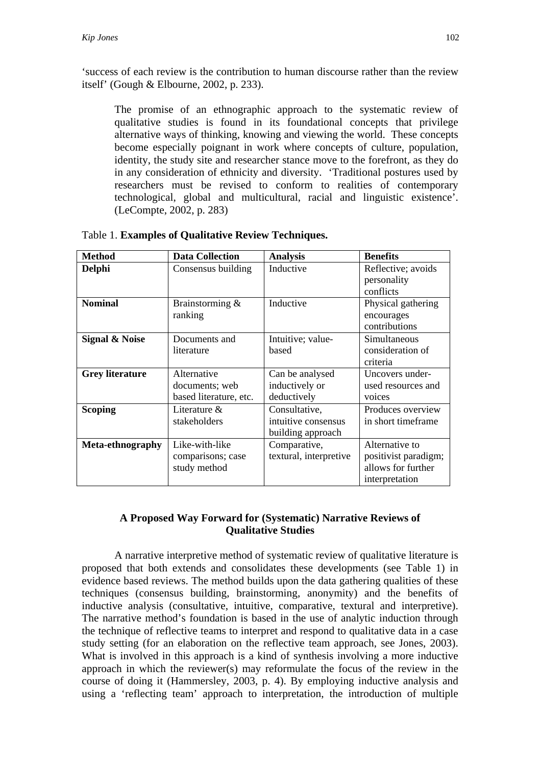'success of each review is the contribution to human discourse rather than the review itself' (Gough & Elbourne, 2002, p. 233).

The promise of an ethnographic approach to the systematic review of qualitative studies is found in its foundational concepts that privilege alternative ways of thinking, knowing and viewing the world. These concepts become especially poignant in work where concepts of culture, population, identity, the study site and researcher stance move to the forefront, as they do in any consideration of ethnicity and diversity. 'Traditional postures used by researchers must be revised to conform to realities of contemporary technological, global and multicultural, racial and linguistic existence'. (LeCompte, 2002, p. 283)

| <b>Method</b>             | <b>Data Collection</b>                                  | <b>Analysis</b>                                           | <b>Benefits</b>                                                                |
|---------------------------|---------------------------------------------------------|-----------------------------------------------------------|--------------------------------------------------------------------------------|
| Delphi                    | Consensus building                                      | Inductive                                                 | Reflective; avoids<br>personality<br>conflicts                                 |
| <b>Nominal</b>            | Brainstorming &<br>ranking                              | Inductive                                                 | Physical gathering<br>encourages<br>contributions                              |
| <b>Signal &amp; Noise</b> | Documents and<br>literature                             | Intuitive; value-<br>based                                | Simultaneous<br>consideration of<br>criteria                                   |
| <b>Grey literature</b>    | Alternative<br>documents; web<br>based literature, etc. | Can be analysed<br>inductively or<br>deductively          | Uncovers under-<br>used resources and<br>voices                                |
| <b>Scoping</b>            | Literature $\&$<br>stakeholders                         | Consultative,<br>intuitive consensus<br>building approach | Produces overview<br>in short timeframe.                                       |
| Meta-ethnography          | Like-with-like<br>comparisons; case<br>study method     | Comparative,<br>textural, interpretive                    | Alternative to<br>positivist paradigm;<br>allows for further<br>interpretation |

| Table 1. Examples of Qualitative Review Techniques. |  |  |  |  |
|-----------------------------------------------------|--|--|--|--|
|-----------------------------------------------------|--|--|--|--|

## **A Proposed Way Forward for (Systematic) Narrative Reviews of Qualitative Studies**

A narrative interpretive method of systematic review of qualitative literature is proposed that both extends and consolidates these developments (see Table 1) in evidence based reviews. The method builds upon the data gathering qualities of these techniques (consensus building, brainstorming, anonymity) and the benefits of inductive analysis (consultative, intuitive, comparative, textural and interpretive). The narrative method's foundation is based in the use of analytic induction through the technique of reflective teams to interpret and respond to qualitative data in a case study setting (for an elaboration on the reflective team approach, see Jones, 2003). What is involved in this approach is a kind of synthesis involving a more inductive approach in which the reviewer(s) may reformulate the focus of the review in the course of doing it (Hammersley, 2003, p. 4). By employing inductive analysis and using a 'reflecting team' approach to interpretation, the introduction of multiple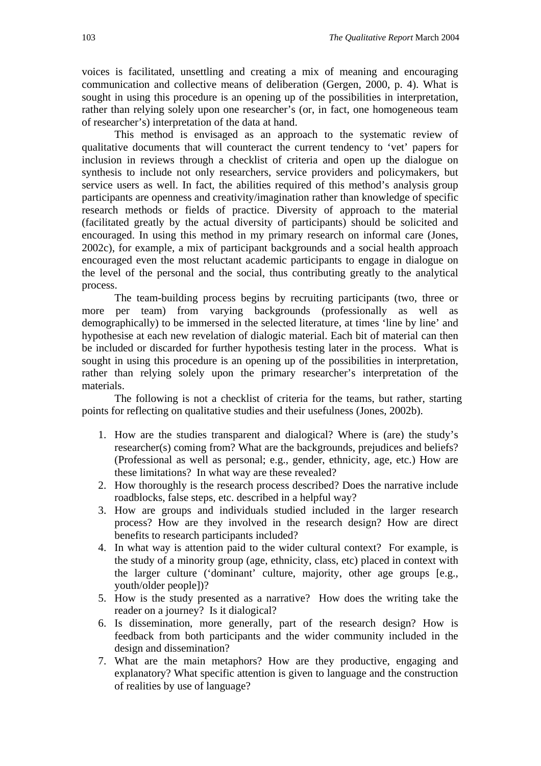voices is facilitated, unsettling and creating a mix of meaning and encouraging communication and collective means of deliberation (Gergen, 2000, p. 4). What is sought in using this procedure is an opening up of the possibilities in interpretation, rather than relying solely upon one researcher's (or, in fact, one homogeneous team of researcher's) interpretation of the data at hand.

This method is envisaged as an approach to the systematic review of qualitative documents that will counteract the current tendency to 'vet' papers for inclusion in reviews through a checklist of criteria and open up the dialogue on synthesis to include not only researchers, service providers and policymakers, but service users as well. In fact, the abilities required of this method's analysis group participants are openness and creativity/imagination rather than knowledge of specific research methods or fields of practice. Diversity of approach to the material (facilitated greatly by the actual diversity of participants) should be solicited and encouraged. In using this method in my primary research on informal care (Jones, 2002c), for example, a mix of participant backgrounds and a social health approach encouraged even the most reluctant academic participants to engage in dialogue on the level of the personal and the social, thus contributing greatly to the analytical process.

The team-building process begins by recruiting participants (two, three or more per team) from varying backgrounds (professionally as well as demographically) to be immersed in the selected literature, at times 'line by line' and hypothesise at each new revelation of dialogic material. Each bit of material can then be included or discarded for further hypothesis testing later in the process. What is sought in using this procedure is an opening up of the possibilities in interpretation, rather than relying solely upon the primary researcher's interpretation of the materials.

The following is not a checklist of criteria for the teams, but rather, starting points for reflecting on qualitative studies and their usefulness (Jones, 2002b).

- 1. How are the studies transparent and dialogical? Where is (are) the study's researcher(s) coming from? What are the backgrounds, prejudices and beliefs? (Professional as well as personal; e.g., gender, ethnicity, age, etc.) How are these limitations? In what way are these revealed?
- 2. How thoroughly is the research process described? Does the narrative include roadblocks, false steps, etc. described in a helpful way?
- 3. How are groups and individuals studied included in the larger research process? How are they involved in the research design? How are direct benefits to research participants included?
- 4. In what way is attention paid to the wider cultural context? For example, is the study of a minority group (age, ethnicity, class, etc) placed in context with the larger culture ('dominant' culture, majority, other age groups [e.g., youth/older people])?
- 5. How is the study presented as a narrative? How does the writing take the reader on a journey? Is it dialogical?
- 6. Is dissemination, more generally, part of the research design? How is feedback from both participants and the wider community included in the design and dissemination?
- 7. What are the main metaphors? How are they productive, engaging and explanatory? What specific attention is given to language and the construction of realities by use of language?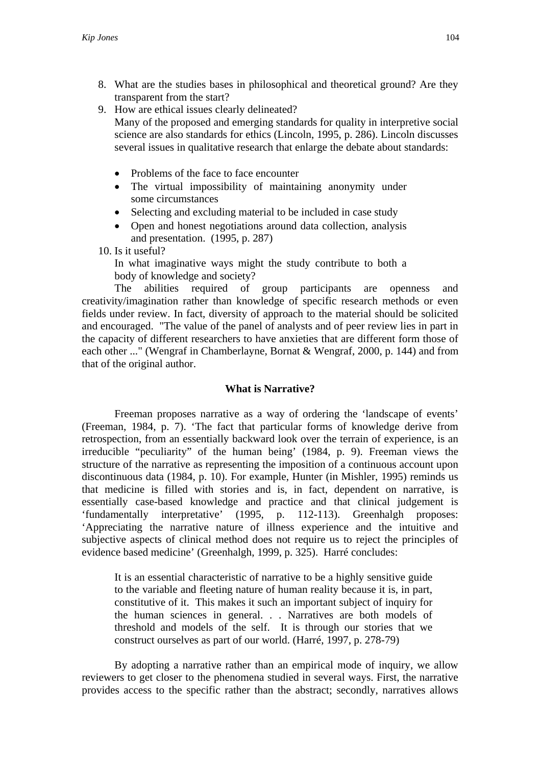- 8. What are the studies bases in philosophical and theoretical ground? Are they transparent from the start?
- 9. How are ethical issues clearly delineated? Many of the proposed and emerging standards for quality in interpretive social science are also standards for ethics (Lincoln, 1995, p. 286). Lincoln discusses several issues in qualitative research that enlarge the debate about standards:
	- Problems of the face to face encounter
	- The virtual impossibility of maintaining anonymity under some circumstances
	- Selecting and excluding material to be included in case study
	- Open and honest negotiations around data collection, analysis and presentation. (1995, p. 287)

10. Is it useful?

In what imaginative ways might the study contribute to both a body of knowledge and society?

 The abilities required of group participants are openness and creativity/imagination rather than knowledge of specific research methods or even fields under review. In fact, diversity of approach to the material should be solicited and encouraged. "The value of the panel of analysts and of peer review lies in part in the capacity of different researchers to have anxieties that are different form those of each other ..." (Wengraf in Chamberlayne, Bornat & Wengraf, 2000, p. 144) and from that of the original author.

# **What is Narrative?**

 Freeman proposes narrative as a way of ordering the 'landscape of events' (Freeman, 1984, p. 7). 'The fact that particular forms of knowledge derive from retrospection, from an essentially backward look over the terrain of experience, is an irreducible "peculiarity" of the human being' (1984, p. 9). Freeman views the structure of the narrative as representing the imposition of a continuous account upon discontinuous data (1984, p. 10). For example, Hunter (in Mishler, 1995) reminds us that medicine is filled with stories and is, in fact, dependent on narrative, is essentially case-based knowledge and practice and that clinical judgement is 'fundamentally interpretative' (1995, p. 112-113). Greenhalgh proposes: 'Appreciating the narrative nature of illness experience and the intuitive and subjective aspects of clinical method does not require us to reject the principles of evidence based medicine' (Greenhalgh, 1999, p. 325). Harré concludes:

It is an essential characteristic of narrative to be a highly sensitive guide to the variable and fleeting nature of human reality because it is, in part, constitutive of it. This makes it such an important subject of inquiry for the human sciences in general. . . Narratives are both models of threshold and models of the self. It is through our stories that we construct ourselves as part of our world. (Harré, 1997, p. 278-79)

 By adopting a narrative rather than an empirical mode of inquiry, we allow reviewers to get closer to the phenomena studied in several ways. First, the narrative provides access to the specific rather than the abstract; secondly, narratives allows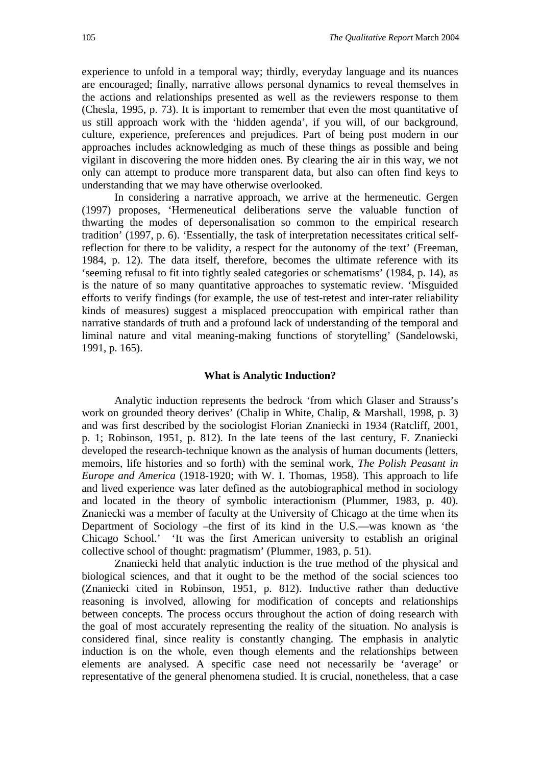experience to unfold in a temporal way; thirdly, everyday language and its nuances are encouraged; finally, narrative allows personal dynamics to reveal themselves in the actions and relationships presented as well as the reviewers response to them (Chesla, 1995, p. 73). It is important to remember that even the most quantitative of us still approach work with the 'hidden agenda', if you will, of our background, culture, experience, preferences and prejudices. Part of being post modern in our approaches includes acknowledging as much of these things as possible and being vigilant in discovering the more hidden ones. By clearing the air in this way, we not only can attempt to produce more transparent data, but also can often find keys to understanding that we may have otherwise overlooked.

In considering a narrative approach, we arrive at the hermeneutic. Gergen (1997) proposes, 'Hermeneutical deliberations serve the valuable function of thwarting the modes of depersonalisation so common to the empirical research tradition' (1997, p. 6). 'Essentially, the task of interpretation necessitates critical selfreflection for there to be validity, a respect for the autonomy of the text' (Freeman, 1984, p. 12). The data itself, therefore, becomes the ultimate reference with its 'seeming refusal to fit into tightly sealed categories or schematisms' (1984, p. 14), as is the nature of so many quantitative approaches to systematic review. 'Misguided efforts to verify findings (for example, the use of test-retest and inter-rater reliability kinds of measures) suggest a misplaced preoccupation with empirical rather than narrative standards of truth and a profound lack of understanding of the temporal and liminal nature and vital meaning-making functions of storytelling' (Sandelowski, 1991, p. 165).

#### **What is Analytic Induction?**

Analytic induction represents the bedrock 'from which Glaser and Strauss's work on grounded theory derives' (Chalip in White, Chalip, & Marshall, 1998, p. 3) and was first described by the sociologist Florian Znaniecki in 1934 (Ratcliff, 2001, p. 1; Robinson, 1951, p. 812). In the late teens of the last century, F. Znaniecki developed the research-technique known as the analysis of human documents (letters, memoirs, life histories and so forth) with the seminal work*, The Polish Peasant in Europe and America* (1918-1920; with W. I. Thomas, 1958). This approach to life and lived experience was later defined as the autobiographical method in sociology and located in the theory of symbolic interactionism (Plummer, 1983, p. 40). Znaniecki was a member of faculty at the University of Chicago at the time when its Department of Sociology –the first of its kind in the U.S.—was known as 'the Chicago School.' 'It was the first American university to establish an original collective school of thought: pragmatism' (Plummer, 1983, p. 51).

Znaniecki held that analytic induction is the true method of the physical and biological sciences, and that it ought to be the method of the social sciences too (Znaniecki cited in Robinson, 1951, p. 812). Inductive rather than deductive reasoning is involved, allowing for modification of concepts and relationships between concepts. The process occurs throughout the action of doing research with the goal of most accurately representing the reality of the situation. No analysis is considered final, since reality is constantly changing. The emphasis in analytic induction is on the whole, even though elements and the relationships between elements are analysed. A specific case need not necessarily be 'average' or representative of the general phenomena studied. It is crucial, nonetheless, that a case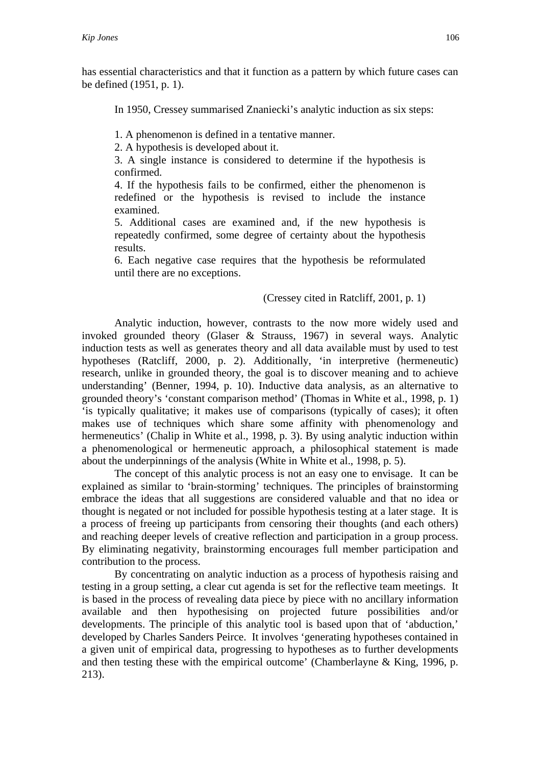has essential characteristics and that it function as a pattern by which future cases can be defined (1951, p. 1).

In 1950, Cressey summarised Znaniecki's analytic induction as six steps:

1. A phenomenon is defined in a tentative manner.

2. A hypothesis is developed about it.

3. A single instance is considered to determine if the hypothesis is confirmed.

4. If the hypothesis fails to be confirmed, either the phenomenon is redefined or the hypothesis is revised to include the instance examined.

5. Additional cases are examined and, if the new hypothesis is repeatedly confirmed, some degree of certainty about the hypothesis results.

6. Each negative case requires that the hypothesis be reformulated until there are no exceptions.

### (Cressey cited in Ratcliff, 2001, p. 1)

 Analytic induction, however, contrasts to the now more widely used and invoked grounded theory (Glaser & Strauss, 1967) in several ways. Analytic induction tests as well as generates theory and all data available must by used to test hypotheses (Ratcliff, 2000, p. 2). Additionally, 'in interpretive (hermeneutic) research, unlike in grounded theory, the goal is to discover meaning and to achieve understanding' (Benner, 1994, p. 10). Inductive data analysis, as an alternative to grounded theory's 'constant comparison method' (Thomas in White et al., 1998, p. 1) 'is typically qualitative; it makes use of comparisons (typically of cases); it often makes use of techniques which share some affinity with phenomenology and hermeneutics' (Chalip in White et al., 1998, p. 3). By using analytic induction within a phenomenological or hermeneutic approach, a philosophical statement is made about the underpinnings of the analysis (White in White et al., 1998, p. 5).

 The concept of this analytic process is not an easy one to envisage. It can be explained as similar to 'brain-storming' techniques. The principles of brainstorming embrace the ideas that all suggestions are considered valuable and that no idea or thought is negated or not included for possible hypothesis testing at a later stage. It is a process of freeing up participants from censoring their thoughts (and each others) and reaching deeper levels of creative reflection and participation in a group process. By eliminating negativity, brainstorming encourages full member participation and contribution to the process.

 By concentrating on analytic induction as a process of hypothesis raising and testing in a group setting, a clear cut agenda is set for the reflective team meetings. It is based in the process of revealing data piece by piece with no ancillary information available and then hypothesising on projected future possibilities and/or developments. The principle of this analytic tool is based upon that of 'abduction,' developed by Charles Sanders Peirce. It involves 'generating hypotheses contained in a given unit of empirical data, progressing to hypotheses as to further developments and then testing these with the empirical outcome' (Chamberlayne & King, 1996, p. 213).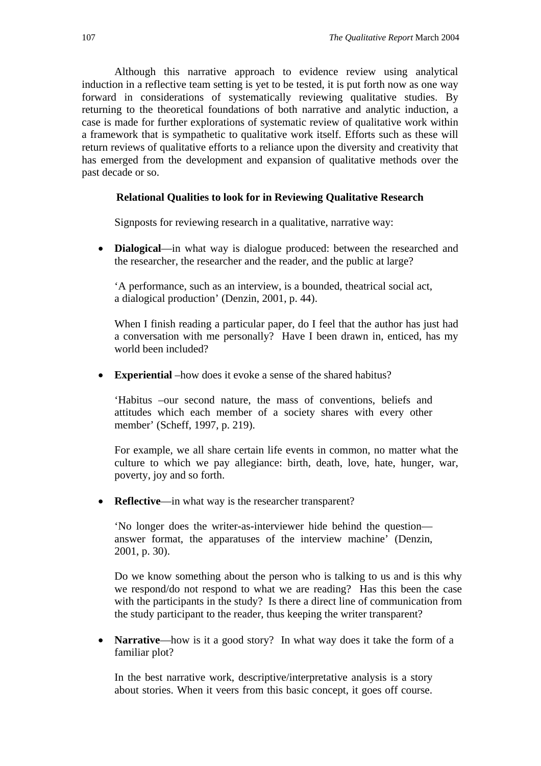Although this narrative approach to evidence review using analytical induction in a reflective team setting is yet to be tested, it is put forth now as one way forward in considerations of systematically reviewing qualitative studies. By returning to the theoretical foundations of both narrative and analytic induction, a case is made for further explorations of systematic review of qualitative work within a framework that is sympathetic to qualitative work itself. Efforts such as these will return reviews of qualitative efforts to a reliance upon the diversity and creativity that has emerged from the development and expansion of qualitative methods over the past decade or so.

### **Relational Qualities to look for in Reviewing Qualitative Research**

Signposts for reviewing research in a qualitative, narrative way:

• **Dialogical**—in what way is dialogue produced: between the researched and the researcher, the researcher and the reader, and the public at large?

'A performance, such as an interview, is a bounded, theatrical social act, a dialogical production' (Denzin, 2001, p. 44).

When I finish reading a particular paper, do I feel that the author has just had a conversation with me personally? Have I been drawn in, enticed, has my world been included?

• **Experiential** –how does it evoke a sense of the shared habitus?

'Habitus –our second nature, the mass of conventions, beliefs and attitudes which each member of a society shares with every other member' (Scheff, 1997, p. 219).

For example, we all share certain life events in common, no matter what the culture to which we pay allegiance: birth, death, love, hate, hunger, war, poverty, joy and so forth.

• **Reflective—in** what way is the researcher transparent?

'No longer does the writer-as-interviewer hide behind the question answer format, the apparatuses of the interview machine' (Denzin, 2001, p. 30).

Do we know something about the person who is talking to us and is this why we respond/do not respond to what we are reading? Has this been the case with the participants in the study? Is there a direct line of communication from the study participant to the reader, thus keeping the writer transparent?

• **Narrative**—how is it a good story? In what way does it take the form of a familiar plot?

In the best narrative work, descriptive/interpretative analysis is a story about stories. When it veers from this basic concept, it goes off course.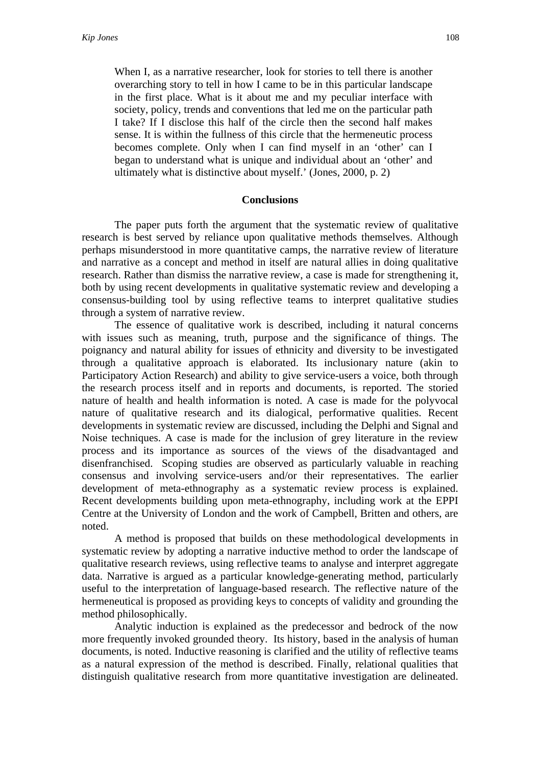When I, as a narrative researcher, look for stories to tell there is another overarching story to tell in how I came to be in this particular landscape in the first place. What is it about me and my peculiar interface with society, policy, trends and conventions that led me on the particular path I take? If I disclose this half of the circle then the second half makes sense. It is within the fullness of this circle that the hermeneutic process becomes complete. Only when I can find myself in an 'other' can I began to understand what is unique and individual about an 'other' and ultimately what is distinctive about myself.' (Jones, 2000, p. 2)

#### **Conclusions**

 The paper puts forth the argument that the systematic review of qualitative research is best served by reliance upon qualitative methods themselves. Although perhaps misunderstood in more quantitative camps, the narrative review of literature and narrative as a concept and method in itself are natural allies in doing qualitative research. Rather than dismiss the narrative review, a case is made for strengthening it, both by using recent developments in qualitative systematic review and developing a consensus-building tool by using reflective teams to interpret qualitative studies through a system of narrative review.

 The essence of qualitative work is described, including it natural concerns with issues such as meaning, truth, purpose and the significance of things. The poignancy and natural ability for issues of ethnicity and diversity to be investigated through a qualitative approach is elaborated. Its inclusionary nature (akin to Participatory Action Research) and ability to give service-users a voice, both through the research process itself and in reports and documents, is reported. The storied nature of health and health information is noted. A case is made for the polyvocal nature of qualitative research and its dialogical, performative qualities. Recent developments in systematic review are discussed, including the Delphi and Signal and Noise techniques. A case is made for the inclusion of grey literature in the review process and its importance as sources of the views of the disadvantaged and disenfranchised. Scoping studies are observed as particularly valuable in reaching consensus and involving service-users and/or their representatives. The earlier development of meta-ethnography as a systematic review process is explained. Recent developments building upon meta-ethnography, including work at the EPPI Centre at the University of London and the work of Campbell, Britten and others, are noted.

 A method is proposed that builds on these methodological developments in systematic review by adopting a narrative inductive method to order the landscape of qualitative research reviews, using reflective teams to analyse and interpret aggregate data. Narrative is argued as a particular knowledge-generating method, particularly useful to the interpretation of language-based research. The reflective nature of the hermeneutical is proposed as providing keys to concepts of validity and grounding the method philosophically.

 Analytic induction is explained as the predecessor and bedrock of the now more frequently invoked grounded theory. Its history, based in the analysis of human documents, is noted. Inductive reasoning is clarified and the utility of reflective teams as a natural expression of the method is described. Finally, relational qualities that distinguish qualitative research from more quantitative investigation are delineated.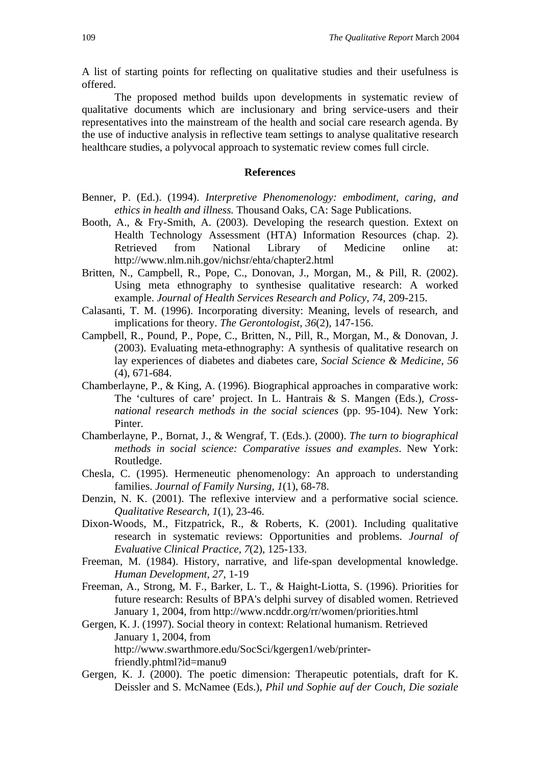A list of starting points for reflecting on qualitative studies and their usefulness is offered.

The proposed method builds upon developments in systematic review of qualitative documents which are inclusionary and bring service-users and their representatives into the mainstream of the health and social care research agenda. By the use of inductive analysis in reflective team settings to analyse qualitative research healthcare studies, a polyvocal approach to systematic review comes full circle.

### **References**

- Benner, P. (Ed.). (1994). *Interpretive Phenomenology: embodiment, caring, and ethics in health and illness.* Thousand Oaks, CA: Sage Publications.
- Booth, A., & Fry-Smith, A. (2003). Developing the research question. Extext on Health Technology Assessment (HTA) Information Resources (chap. 2). Retrieved from National Library of Medicine online at: http://www.nlm.nih.gov/nichsr/ehta/chapter2.html
- Britten, N., Campbell, R., Pope, C., Donovan, J., Morgan, M., & Pill, R. (2002). Using meta ethnography to synthesise qualitative research: A worked example. *Journal of Health Services Research and Policy, 74*, 209-215.
- Calasanti, T. M. (1996). Incorporating diversity: Meaning, levels of research, and implications for theory. *The Gerontologist, 36*(2), 147-156.
- Campbell, R., Pound, P., Pope, C., Britten, N., Pill, R., Morgan, M., & Donovan, J. (2003). Evaluating meta-ethnography: A synthesis of qualitative research on lay experiences of diabetes and diabetes care, *Social Science & Medicine, 56* (4), 671-684.
- Chamberlayne, P., & King, A. (1996). Biographical approaches in comparative work: The 'cultures of care' project. In L. Hantrais & S. Mangen (Eds.), *Crossnational research methods in the social sciences* (pp. 95-104). New York: Pinter.
- Chamberlayne, P., Bornat, J., & Wengraf, T. (Eds.). (2000). *The turn to biographical methods in social science: Comparative issues and examples*. New York: Routledge.
- Chesla, C. (1995). Hermeneutic phenomenology: An approach to understanding families. *Journal of Family Nursing, 1*(1), 68-78.
- Denzin, N. K. (2001). The reflexive interview and a performative social science. *Qualitative Research, 1*(1), 23-46.
- Dixon-Woods, M., Fitzpatrick, R., & Roberts, K. (2001). Including qualitative research in systematic reviews: Opportunities and problems. *Journal of Evaluative Clinical Practice, 7*(2), 125-133.
- Freeman, M. (1984). History, narrative, and life-span developmental knowledge. *Human Development, 27*, 1-19
- Freeman, A., Strong, M. F., Barker, L. T., & Haight-Liotta, S. (1996). Priorities for future research: Results of BPA's delphi survey of disabled women. Retrieved January 1, 2004, from http://www.ncddr.org/rr/women/priorities.html
- Gergen, K. J. (1997). Social theory in context: Relational humanism. Retrieved January 1, 2004, from http://www.swarthmore.edu/SocSci/kgergen1/web/printerfriendly.phtml?id=manu9
- Gergen, K. J. (2000). The poetic dimension: Therapeutic potentials, draft for K. Deissler and S. McNamee (Eds.), *Phil und Sophie auf der Couch, Die soziale*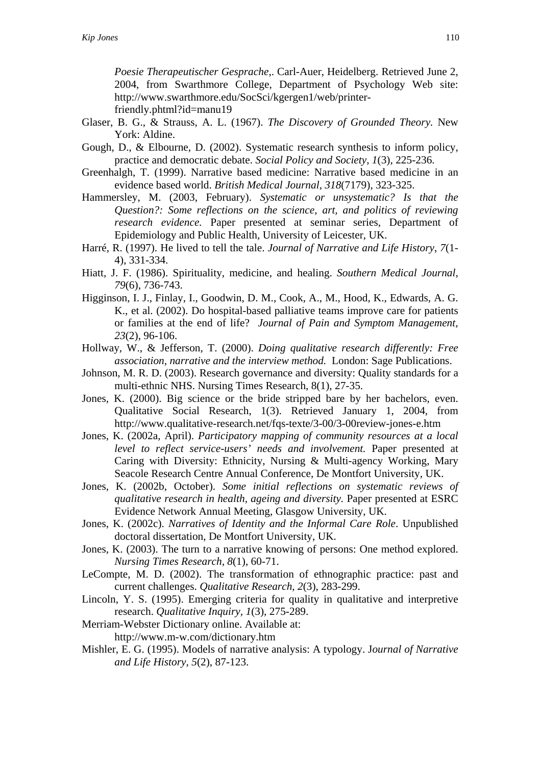*Poesie Therapeutischer Gesprache,*. Carl-Auer, Heidelberg. Retrieved June 2, 2004, from Swarthmore College, Department of Psychology Web site: http://www.swarthmore.edu/SocSci/kgergen1/web/printerfriendly.phtml?id=manu19

- Glaser, B. G., & Strauss, A. L. (1967). *The Discovery of Grounded Theory.* New York: Aldine.
- Gough, D., & Elbourne, D. (2002). Systematic research synthesis to inform policy, practice and democratic debate. *Social Policy and Society, 1*(3), 225-236.
- Greenhalgh, T. (1999). Narrative based medicine: Narrative based medicine in an evidence based world. *British Medical Journal, 318*(7179), 323-325.
- Hammersley, M. (2003, February). *Systematic or unsystematic? Is that the Question?: Some reflections on the science, art, and politics of reviewing research evidence.* Paper presented at seminar series, Department of Epidemiology and Public Health, University of Leicester, UK.
- Harré, R. (1997). He lived to tell the tale. *Journal of Narrative and Life History*, *7*(1- 4), 331-334.
- Hiatt, J. F. (1986). Spirituality, medicine, and healing. *Southern Medical Journal, 79*(6), 736-743.
- Higginson, I. J., Finlay, I., Goodwin, D. M., Cook, A., M., Hood, K., Edwards, A. G. K., et al. (2002). Do hospital-based palliative teams improve care for patients or families at the end of life? *Journal of Pain and Symptom Management, 23*(2), 96-106.
- Hollway, W., & Jefferson, T. (2000). *Doing qualitative research differently: Free association, narrative and the interview method.* London: Sage Publications.
- Johnson, M. R. D. (2003). Research governance and diversity: Quality standards for a multi-ethnic NHS. Nursing Times Research, 8(1), 27-35.
- Jones, K. (2000). Big science or the bride stripped bare by her bachelors, even. Qualitative Social Research, 1(3). Retrieved January 1, 2004, from http://www.qualitative-research.net/fqs-texte/3-00/3-00review-jones-e.htm
- Jones, K. (2002a, April). *Participatory mapping of community resources at a local level to reflect service-users' needs and involvement.* Paper presented at Caring with Diversity: Ethnicity, Nursing & Multi-agency Working, Mary Seacole Research Centre Annual Conference, De Montfort University, UK.
- Jones, K. (2002b, October). *Some initial reflections on systematic reviews of qualitative research in health, ageing and diversity.* Paper presented at ESRC Evidence Network Annual Meeting, Glasgow University, UK.
- Jones, K. (2002c). *Narratives of Identity and the Informal Care Role*. Unpublished doctoral dissertation, De Montfort University, UK.
- Jones, K. (2003). The turn to a narrative knowing of persons: One method explored. *Nursing Times Research, 8*(1), 60-71.
- LeCompte, M. D. (2002). The transformation of ethnographic practice: past and current challenges. *Qualitative Research, 2*(3), 283-299.
- Lincoln, Y. S. (1995). Emerging criteria for quality in qualitative and interpretive research. *Qualitative Inquiry, 1*(3), 275-289.
- Merriam-Webster Dictionary online. Available at: http://www.m-w.com/dictionary.htm
- Mishler, E. G. (1995). Models of narrative analysis: A typology. J*ournal of Narrative and Life History, 5*(2), 87-123.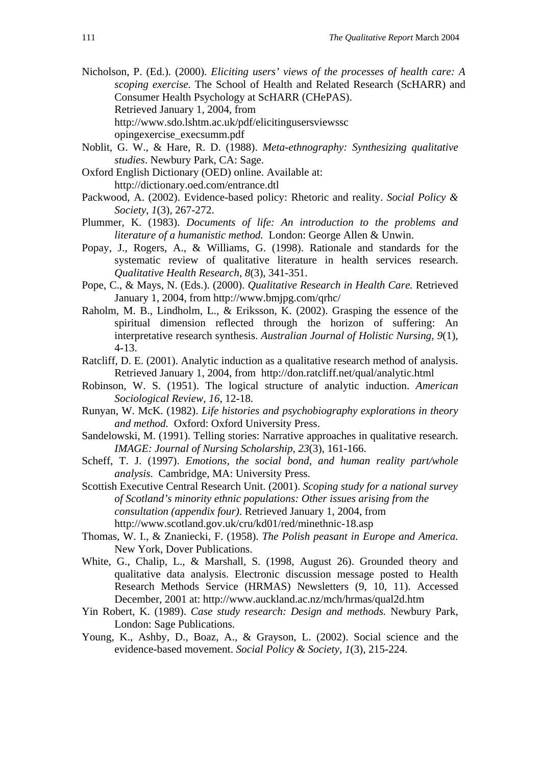Nicholson, P. (Ed.). (2000). *Eliciting users' views of the processes of health care: A scoping exercise.* The School of Health and Related Research (ScHARR) and Consumer Health Psychology at ScHARR (CHePAS). Retrieved January 1, 2004, from http://www.sdo.lshtm.ac.uk/pdf/elicitingusersviewssc opingexercise\_execsumm.pdf

- Noblit, G. W., & Hare, R. D. (1988). *Meta-ethnography: Synthesizing qualitative studies*. Newbury Park, CA: Sage.
- Oxford English Dictionary (OED) online. Available at: http://dictionary.oed.com/entrance.dtl
- Packwood, A. (2002). Evidence-based policy: Rhetoric and reality. *Social Policy & Society, 1*(3), 267-272.
- Plummer, K. (1983). *Documents of life: An introduction to the problems and literature of a humanistic method.* London: George Allen & Unwin.
- Popay, J., Rogers, A., & Williams, G. (1998). Rationale and standards for the systematic review of qualitative literature in health services research. *Qualitative Health Research, 8*(3), 341-351.
- Pope, C., & Mays, N. (Eds.). (2000). *Qualitative Research in Health Care.* Retrieved January 1, 2004, from http://www.bmjpg.com/qrhc/
- Raholm, M. B., Lindholm, L., & Eriksson, K. (2002). Grasping the essence of the spiritual dimension reflected through the horizon of suffering: An interpretative research synthesis. *Australian Journal of Holistic Nursing, 9*(1), 4-13.
- Ratcliff, D. E. (2001). Analytic induction as a qualitative research method of analysis. Retrieved January 1, 2004, from http://don.ratcliff.net/qual/analytic.html
- Robinson, W. S. (1951). The logical structure of analytic induction. *American Sociological Review, 16*, 12-18.
- Runyan, W. McK. (1982). *Life histories and psychobiography explorations in theory and method.* Oxford: Oxford University Press.
- Sandelowski, M. (1991). Telling stories: Narrative approaches in qualitative research. *IMAGE: Journal of Nursing Scholarship, 23*(3), 161-166.
- Scheff, T. J. (1997). *Emotions, the social bond, and human reality part/whole analysis*. Cambridge, MA: University Press.
- Scottish Executive Central Research Unit. (2001). *Scoping study for a national survey of Scotland's minority ethnic populations: Other issues arising from the consultation (appendix four)*. Retrieved January 1, 2004, from http://www.scotland.gov.uk/cru/kd01/red/minethnic-18.asp
- Thomas, W. I., & Znaniecki, F. (1958). *The Polish peasant in Europe and America.*  New York, Dover Publications.
- White, G., Chalip, L., & Marshall, S. (1998, August 26). Grounded theory and qualitative data analysis. Electronic discussion message posted to Health Research Methods Service (HRMAS) Newsletters (9, 10, 11). Accessed December, 2001 at: http://www.auckland.ac.nz/mch/hrmas/qual2d.htm
- Yin Robert, K. (1989). *Case study research: Design and methods.* Newbury Park, London: Sage Publications.
- Young, K., Ashby, D., Boaz, A., & Grayson, L. (2002). Social science and the evidence-based movement. *Social Policy & Society, 1*(3), 215-224.